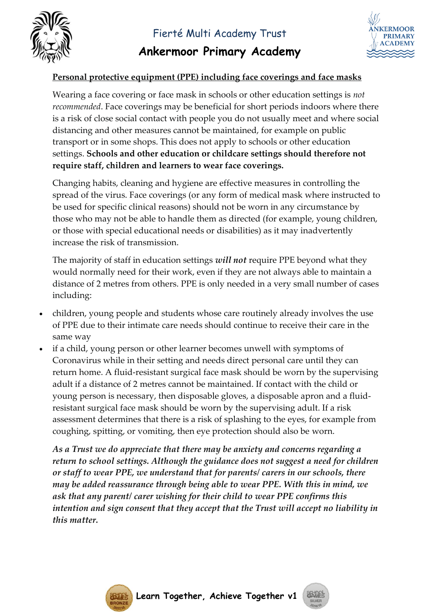

## **Ankermoor Primary Academy**



## **Personal protective equipment (PPE) including face coverings and face masks**

Wearing a face covering or face mask in schools or other education settings is *not recommended*. Face coverings may be beneficial for short periods indoors where there is a risk of close social contact with people you do not usually meet and where social distancing and other measures cannot be maintained, for example on public transport or in some shops. This does not apply to schools or other education settings. **Schools and other education or childcare settings should therefore not require staff, children and learners to wear face coverings.** 

Changing habits, cleaning and hygiene are effective measures in controlling the spread of the virus. Face coverings (or any form of medical mask where instructed to be used for specific clinical reasons) should not be worn in any circumstance by those who may not be able to handle them as directed (for example, young children, or those with special educational needs or disabilities) as it may inadvertently increase the risk of transmission.

The majority of staff in education settings *will not* require PPE beyond what they would normally need for their work, even if they are not always able to maintain a distance of 2 metres from others. PPE is only needed in a very small number of cases including:

- children, young people and students whose care routinely already involves the use of PPE due to their intimate care needs should continue to receive their care in the same way
- if a child, young person or other learner becomes unwell with symptoms of Coronavirus while in their setting and needs direct personal care until they can return home. A fluid-resistant surgical face mask should be worn by the supervising adult if a distance of 2 metres cannot be maintained. If contact with the child or young person is necessary, then disposable gloves, a disposable apron and a fluidresistant surgical face mask should be worn by the supervising adult. If a risk assessment determines that there is a risk of splashing to the eyes, for example from coughing, spitting, or vomiting, then eye protection should also be worn.

*As a Trust we do appreciate that there may be anxiety and concerns regarding a return to school settings. Although the guidance does not suggest a need for children or staff to wear PPE, we understand that for parents/ carers in our schools, there may be added reassurance through being able to wear PPE. With this in mind, we ask that any parent/ carer wishing for their child to wear PPE confirms this intention and sign consent that they accept that the Trust will accept no liability in this matter.*